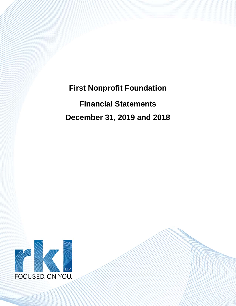**First Nonprofit Foundation Financial Statements December 31, 2019 and 2018**

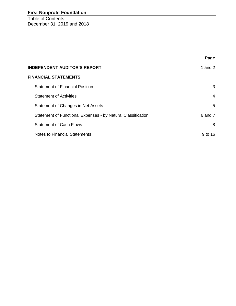Table of Contents December 31, 2019 and 2018

|                                                              | Page      |
|--------------------------------------------------------------|-----------|
| <b>INDEPENDENT AUDITOR'S REPORT</b>                          | 1 and $2$ |
| <b>FINANCIAL STATEMENTS</b>                                  |           |
| <b>Statement of Financial Position</b>                       | 3         |
| <b>Statement of Activities</b>                               | 4         |
| Statement of Changes in Net Assets                           | 5         |
| Statement of Functional Expenses - by Natural Classification | 6 and 7   |
| <b>Statement of Cash Flows</b>                               | 8         |
| <b>Notes to Financial Statements</b>                         | $9$ to 16 |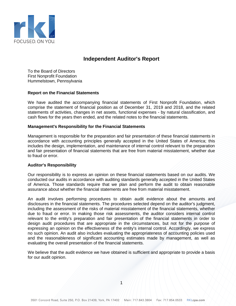

# **Independent Auditor's Report**

To the Board of Directors First Nonprofit Foundation Hummelstown, Pennsylvania

#### **Report on the Financial Statements**

We have audited the accompanying financial statements of First Nonprofit Foundation, which comprise the statement of financial position as of December 31, 2019 and 2018, and the related statements of activities, changes in net assets, functional expenses - by natural classification, and cash flows for the years then ended, and the related notes to the financial statements.

#### **Management's Responsibility for the Financial Statements**

Management is responsible for the preparation and fair presentation of these financial statements in accordance with accounting principles generally accepted in the United States of America; this includes the design, implementation, and maintenance of internal control relevant to the preparation and fair presentation of financial statements that are free from material misstatement, whether due to fraud or error.

#### **Auditor's Responsibility**

Our responsibility is to express an opinion on these financial statements based on our audits. We conducted our audits in accordance with auditing standards generally accepted in the United States of America. Those standards require that we plan and perform the audit to obtain reasonable assurance about whether the financial statements are free from material misstatement.

An audit involves performing procedures to obtain audit evidence about the amounts and disclosures in the financial statements. The procedures selected depend on the auditor's judgment, including the assessment of the risks of material misstatement of the financial statements, whether due to fraud or error. In making those risk assessments, the auditor considers internal control relevant to the entity's preparation and fair presentation of the financial statements in order to design audit procedures that are appropriate in the circumstances, but not for the purpose of expressing an opinion on the effectiveness of the entity's internal control. Accordingly, we express no such opinion. An audit also includes evaluating the appropriateness of accounting policies used and the reasonableness of significant accounting estimates made by management, as well as evaluating the overall presentation of the financial statements.

We believe that the audit evidence we have obtained is sufficient and appropriate to provide a basis for our audit opinion.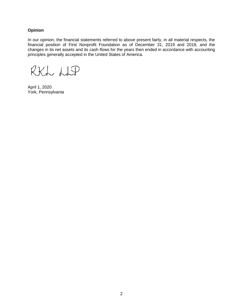#### **Opinion**

In our opinion, the financial statements referred to above present fairly, in all material respects, the financial position of First Nonprofit Foundation as of December 31, 2019 and 2018, and the changes in its net assets and its cash flows for the years then ended in accordance with accounting principles generally accepted in the United States of America.

RKL LIP

April 1, 2020 York, Pennsylvania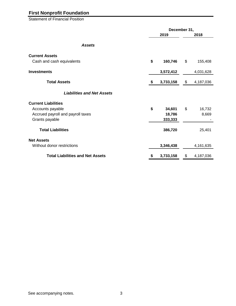Statement of Financial Position

|                                                                                                       | December 31, |                             |    |                 |  |  |
|-------------------------------------------------------------------------------------------------------|--------------|-----------------------------|----|-----------------|--|--|
|                                                                                                       | 2019         |                             |    | 2018            |  |  |
| <b>Assets</b>                                                                                         |              |                             |    |                 |  |  |
| <b>Current Assets</b><br>Cash and cash equivalents                                                    | \$           | 160,746                     | \$ | 155,408         |  |  |
| <b>Investments</b>                                                                                    |              | 3,572,412                   |    | 4,031,628       |  |  |
| <b>Total Assets</b>                                                                                   | S.           | 3,733,158                   | \$ | 4,187,036       |  |  |
| <b>Liabilities and Net Assets</b>                                                                     |              |                             |    |                 |  |  |
| <b>Current Liabilities</b><br>Accounts payable<br>Accrued payroll and payroll taxes<br>Grants payable | \$           | 34,601<br>18,786<br>333,333 | \$ | 16,732<br>8,669 |  |  |
| <b>Total Liabilities</b>                                                                              |              | 386,720                     |    | 25,401          |  |  |
| <b>Net Assets</b><br>Without donor restrictions                                                       |              | 3,346,438                   |    | 4,161,635       |  |  |
| <b>Total Liabilities and Net Assets</b>                                                               | \$           | 3,733,158                   | \$ | 4,187,036       |  |  |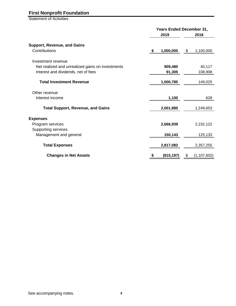Statement of Activities

|                                                  | <b>Years Ended December 31,</b> |                            |  |  |  |  |
|--------------------------------------------------|---------------------------------|----------------------------|--|--|--|--|
|                                                  | 2019                            | 2018                       |  |  |  |  |
| <b>Support, Revenue, and Gains</b>               |                                 |                            |  |  |  |  |
| Contributions                                    | 1,000,000<br>\$                 | 1,100,000<br>$\frac{1}{2}$ |  |  |  |  |
| Investment revenue                               |                                 |                            |  |  |  |  |
| Net realized and unrealized gains on investments | 909,480                         | 40,117                     |  |  |  |  |
| Interest and dividends, net of fees              |                                 | 91,305<br>108,908          |  |  |  |  |
| <b>Total Investment Revenue</b>                  | 1,000,785                       | 149,025                    |  |  |  |  |
| Other revenue                                    |                                 |                            |  |  |  |  |
| Interest income                                  |                                 | 1,100<br>628               |  |  |  |  |
| <b>Total Support, Revenue, and Gains</b>         | 2,001,885                       | 1,249,653                  |  |  |  |  |
| <b>Expenses</b>                                  |                                 |                            |  |  |  |  |
| Program services                                 | 2,666,939                       | 2,232,122                  |  |  |  |  |
| Supporting services                              |                                 |                            |  |  |  |  |
| Management and general                           | 150,143                         | 125,133                    |  |  |  |  |
| <b>Total Expenses</b>                            | 2,817,082                       | 2,357,255                  |  |  |  |  |
| <b>Changes in Net Assets</b>                     | \$<br>(815, 197)                | (1, 107, 602)<br>\$        |  |  |  |  |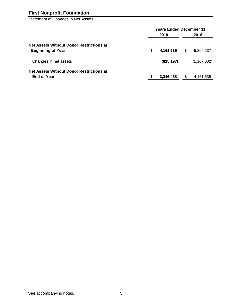Statement of Changes in Net Assets

|                                                                             | Years Ended December 31, |            |     |               |  |  |  |
|-----------------------------------------------------------------------------|--------------------------|------------|-----|---------------|--|--|--|
|                                                                             |                          | 2019       |     |               |  |  |  |
| <b>Net Assets Without Donor Restrictions at</b><br><b>Beginning of Year</b> | \$                       | 4,161,635  | S.  | 5,269,237     |  |  |  |
| Changes in net assets                                                       |                          | (815, 197) |     | (1, 107, 602) |  |  |  |
| <b>Net Assets Without Donor Restrictions at</b><br><b>End of Year</b>       | S                        | 3,346,438  | \$. | 4,161,635     |  |  |  |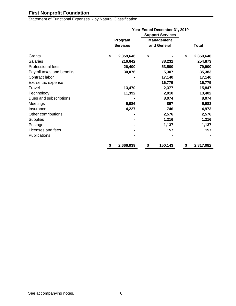Statement of Functional Expenses - by Natural Classification

|                            | Year Ended December 31, 2019 |                 |    |                         |    |              |  |  |  |
|----------------------------|------------------------------|-----------------|----|-------------------------|----|--------------|--|--|--|
|                            |                              |                 |    | <b>Support Services</b> |    |              |  |  |  |
|                            |                              | Program         |    | <b>Management</b>       |    |              |  |  |  |
|                            |                              | <b>Services</b> |    | and General             |    | <b>Total</b> |  |  |  |
| Grants                     | \$                           | 2,359,646       | \$ |                         | \$ | 2,359,646    |  |  |  |
| Salaries                   |                              | 216,642         |    | 38,231                  |    | 254,873      |  |  |  |
| Professional fees          |                              | 26,400          |    | 53,500                  |    | 79,900       |  |  |  |
| Payroll taxes and benefits |                              | 30,076          |    | 5,307                   |    | 35,383       |  |  |  |
| Contract labor             |                              |                 |    | 17,140                  |    | 17,140       |  |  |  |
| Excise tax expense         |                              |                 |    | 16,775                  |    | 16,775       |  |  |  |
| Travel                     |                              | 13,470          |    | 2,377                   |    | 15,847       |  |  |  |
| Technology                 |                              | 11,392          |    | 2,010                   |    | 13,402       |  |  |  |
| Dues and subscriptions     |                              |                 |    | 8,074                   |    | 8,074        |  |  |  |
| Meetings                   |                              | 5,086           |    | 897                     |    | 5,983        |  |  |  |
| Insurance                  |                              | 4,227           |    | 746                     |    | 4,973        |  |  |  |
| Other contributions        |                              |                 |    | 2,576                   |    | 2,576        |  |  |  |
| <b>Supplies</b>            |                              |                 |    | 1,216                   |    | 1,216        |  |  |  |
| Postage                    |                              |                 |    | 1,137                   |    | 1,137        |  |  |  |
| Licenses and fees          |                              |                 |    | 157                     |    | 157          |  |  |  |
| <b>Publications</b>        |                              |                 |    |                         |    |              |  |  |  |
|                            | \$                           | 2,666,939       | \$ | 150,143                 | \$ | 2,817,082    |  |  |  |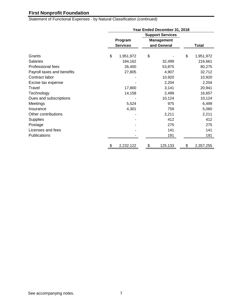Statement of Functional Expenses - by Natural Classification (continued)

|                            | Year Ended December 31, 2018 |                 |    |                         |    |              |  |  |  |
|----------------------------|------------------------------|-----------------|----|-------------------------|----|--------------|--|--|--|
|                            |                              |                 |    | <b>Support Services</b> |    |              |  |  |  |
|                            |                              | Program         |    | <b>Management</b>       |    |              |  |  |  |
|                            |                              | <b>Services</b> |    | and General             |    | <b>Total</b> |  |  |  |
| Grants                     | \$                           | 1,951,972       | \$ |                         | \$ | 1,951,972    |  |  |  |
| <b>Salaries</b>            |                              | 184,162         |    | 32,499                  |    | 216,661      |  |  |  |
| Professional fees          |                              | 26,400          |    | 53,875                  |    | 80,275       |  |  |  |
| Payroll taxes and benefits |                              | 27,805          |    | 4,907                   |    | 32,712       |  |  |  |
| Contract labor             |                              |                 |    | 10,920                  |    | 10,920       |  |  |  |
| Excise tax expense         |                              |                 |    | 2,204                   |    | 2,204        |  |  |  |
| Travel                     |                              | 17,800          |    | 3,141                   |    | 20,941       |  |  |  |
| Technology                 |                              | 14,158          |    | 2,499                   |    | 16,657       |  |  |  |
| Dues and subscriptions     |                              |                 |    | 10,124                  |    | 10,124       |  |  |  |
| Meetings                   |                              | 5,524           |    | 975                     |    | 6,499        |  |  |  |
| Insurance                  |                              | 4,301           |    | 759                     |    | 5,060        |  |  |  |
| Other contributions        |                              |                 |    | 2,211                   |    | 2,211        |  |  |  |
| <b>Supplies</b>            |                              |                 |    | 412                     |    | 412          |  |  |  |
| Postage                    |                              |                 |    | 275                     |    | 275          |  |  |  |
| Licenses and fees          |                              |                 |    | 141                     |    | 141          |  |  |  |
| Publications               |                              |                 |    | 191                     |    | 191          |  |  |  |
|                            | \$                           | 2,232,122       | \$ | 125,133                 | \$ | 2,357,255    |  |  |  |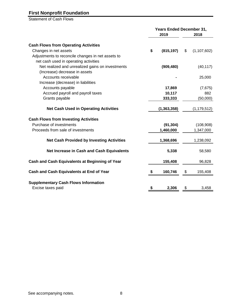Statement of Cash Flows

|                                                   | <b>Years Ended December 31,</b> |               |    |               |  |  |  |
|---------------------------------------------------|---------------------------------|---------------|----|---------------|--|--|--|
|                                                   | 2019                            |               |    |               |  |  |  |
| <b>Cash Flows from Operating Activities</b>       |                                 |               |    |               |  |  |  |
| Changes in net assets                             | \$                              | (815, 197)    | \$ | (1, 107, 602) |  |  |  |
| Adjustments to reconcile changes in net assets to |                                 |               |    |               |  |  |  |
| net cash used in operating activities             |                                 |               |    |               |  |  |  |
| Net realized and unrealized gains on investments  |                                 | (909, 480)    |    | (40, 117)     |  |  |  |
| (Increase) decrease in assets                     |                                 |               |    |               |  |  |  |
| Accounts receivable                               |                                 |               |    | 25,000        |  |  |  |
| Increase (decrease) in liabilities                |                                 |               |    |               |  |  |  |
| Accounts payable                                  |                                 | 17,869        |    | (7,675)       |  |  |  |
| Accrued payroll and payroll taxes                 |                                 | 10,117        |    | 882           |  |  |  |
| Grants payable                                    |                                 | 333,333       |    | (50,000)      |  |  |  |
| <b>Net Cash Used in Operating Activities</b>      |                                 | (1, 363, 358) |    | (1, 179, 512) |  |  |  |
| <b>Cash Flows from Investing Activities</b>       |                                 |               |    |               |  |  |  |
| Purchase of investments                           |                                 | (91, 304)     |    | (108, 908)    |  |  |  |
| Proceeds from sale of investments                 |                                 | 1,460,000     |    | 1,347,000     |  |  |  |
| <b>Net Cash Provided by Investing Activities</b>  |                                 | 1,368,696     |    | 1,238,092     |  |  |  |
| Net Increase in Cash and Cash Equivalents         |                                 | 5,338         |    | 58,580        |  |  |  |
| Cash and Cash Equivalents at Beginning of Year    |                                 | 155,408       |    | 96,828        |  |  |  |
| <b>Cash and Cash Equivalents at End of Year</b>   | S                               | 160,746       | \$ | 155,408       |  |  |  |
| <b>Supplementary Cash Flows Information</b>       |                                 |               |    |               |  |  |  |
| Excise taxes paid                                 | \$                              | 2,306         | \$ | 3,458         |  |  |  |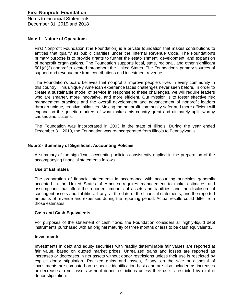### **Note 1 - Nature of Operations**

First Nonprofit Foundation (the Foundation) is a private foundation that makes contributions to entities that qualify as public charities under the Internal Revenue Code. The Foundation's primary purpose is to provide grants to further the establishment, development, and expansion of nonprofit organizations. The Foundation supports local, state, regional, and other significant 501(c)(3) nonprofits located throughout the United States. The Foundation's primary sources of support and revenue are from contributions and investment revenue.

The Foundation's board believes that nonprofits improve people's lives in every community in this country. This uniquely American experience faces challenges never seen before. In order to create a sustainable model of service in response to these challenges, we will require leaders who are smarter, more innovative, and more efficient. Our mission is to foster effective risk management practices and the overall development and advancement of nonprofit leaders through unique, creative initiatives. Making the nonprofit community safer and more efficient will expand on the genetic markers of what makes this country great and ultimately uplift worthy causes and citizens.

The Foundation was incorporated in 2003 in the state of Illinois. During the year ended December 31, 2013, the Foundation was re-incorporated from Illinois to Pennsylvania.

## **Note 2 - Summary of Significant Accounting Policies**

A summary of the significant accounting policies consistently applied in the preparation of the accompanying financial statements follows.

### **Use of Estimates**

The preparation of financial statements in accordance with accounting principles generally accepted in the United States of America requires management to make estimates and assumptions that affect the reported amounts of assets and liabilities, and the disclosure of contingent assets and liabilities, if any, at the date of the financial statements, and the reported amounts of revenue and expenses during the reporting period. Actual results could differ from those estimates.

### **Cash and Cash Equivalents**

For purposes of the statement of cash flows, the Foundation considers all highly-liquid debt instruments purchased with an original maturity of three months or less to be cash equivalents.

### **Investments**

Investments in debt and equity securities with readily determinable fair values are reported at fair value, based on quoted market prices. Unrealized gains and losses are reported as increases or decreases in net assets without donor restrictions unless their use is restricted by explicit donor stipulation. Realized gains and losses, if any, on the sale or disposal of investments are computed on a specific identification basis and are also included as increases or decreases in net assets without donor restrictions unless their use is restricted by explicit donor stipulation.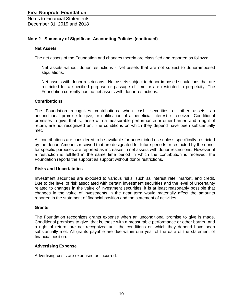## **Note 2 - Summary of Significant Accounting Policies (continued)**

#### **Net Assets**

The net assets of the Foundation and changes therein are classified and reported as follows:

Net assets without donor restrictions - Net assets that are not subject to donor-imposed stipulations.

Net assets with donor restrictions - Net assets subject to donor-imposed stipulations that are restricted for a specified purpose or passage of time or are restricted in perpetuity. The Foundation currently has no net assets with donor restrictions.

### **Contributions**

The Foundation recognizes contributions when cash, securities or other assets, an unconditional promise to give, or notification of a beneficial interest is received. Conditional promises to give, that is, those with a measurable performance or other barrier, and a right of return, are not recognized until the conditions on which they depend have been substantially met.

All contributions are considered to be available for unrestricted use unless specifically restricted by the donor. Amounts received that are designated for future periods or restricted by the donor for specific purposes are reported as increases in net assets with donor restrictions. However, if a restriction is fulfilled in the same time period in which the contribution is received, the Foundation reports the support as support without donor restrictions.

### **Risks and Uncertainties**

Investment securities are exposed to various risks, such as interest rate, market, and credit. Due to the level of risk associated with certain investment securities and the level of uncertainty related to changes in the value of investment securities, it is at least reasonably possible that changes in the value of investments in the near term would materially affect the amounts reported in the statement of financial position and the statement of activities.

### **Grants**

The Foundation recognizes grants expense when an unconditional promise to give is made. Conditional promises to give, that is, those with a measurable performance or other barrier, and a right of return, are not recognized until the conditions on which they depend have been substantially met. All grants payable are due within one year of the date of the statement of financial position.

#### **Advertising Expense**

Advertising costs are expensed as incurred.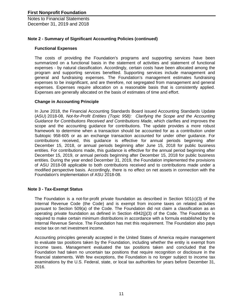### **Note 2 - Summary of Significant Accounting Policies (continued)**

### **Functional Expenses**

The costs of providing the Foundation's programs and supporting services have been summarized on a functional basis in the statement of activities and statement of functional expenses - by natural classification. Accordingly, certain costs have been allocated among the program and supporting services benefited. Supporting services include management and general and fundraising expenses. The Foundation's management estimates fundraising expenses to be insignificant, and are therefore, not segregated from management and general expenses. Expenses require allocation on a reasonable basis that is consistently applied. Expenses are generally allocated on the basis of estimates of time and effort.

### **Change in Accounting Principle**

In June 2018, the Financial Accounting Standards Board issued Accounting Standards Update (ASU) 2018-08, *Not-for-Profit Entities (Topic 958): Clarifying the Scope and the Accounting Guidance for Contributions Received and Contributions Made*, which clarifies and improves the scope and the accounting guidance for contributions. The update provides a more robust framework to determine when a transaction should be accounted for as a contribution under Subtopic 958-605 or as an exchange transaction accounted for under other guidance. For contributions received, this guidance is effective for annual periods beginning after December 15, 2018, or annual periods beginning after June 15, 2018 for public business entities. For contributions made, this guidance is effective for the annual period beginning after December 15, 2019, or annual periods beginning after December 15, 2018 for public business entities. During the year ended December 31, 2019, the Foundation implemented the provisions of ASU 2018-08 applicable to both contributions received and to contributions made under a modified perspective basis. Accordingly, there is no effect on net assets in connection with the Foundation's implementation of ASU 2018-08.

### **Note 3 - Tax-Exempt Status**

The Foundation is a not-for-profit private foundation as described in Section 501(c)(3) of the Internal Revenue Code (the Code) and is exempt from income taxes on related activities pursuant to Section 509(a) of the Code. The Foundation did not claim a classification as an operating private foundation as defined in Section  $4942(j)(3)$  of the Code. The Foundation is required to make certain minimum distributions in accordance with a formula established by the Internal Revenue Service. The Foundation has met this requirement. The Foundation also pays excise tax on net investment income.

Accounting principles generally accepted in the United States of America require management to evaluate tax positions taken by the Foundation, including whether the entity is exempt from income taxes. Management evaluated the tax positions taken and concluded that the Foundation had taken no uncertain tax positions that require recognition or disclosure in the financial statements. With few exceptions, the Foundation is no longer subject to income tax examinations by the U.S. Federal, state, or local tax authorities for years before December 31, 2016.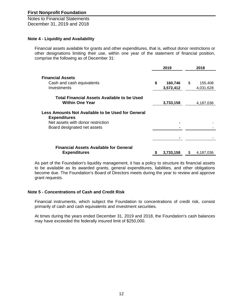Notes to Financial Statements December 31, 2019 and 2018

### **Note 4 - Liquidity and Availability**

Financial assets available for grants and other expenditures, that is, without donor restrictions or other designations limiting their use, within one year of the statement of financial position, comprise the following as of December 31:

|                                                                                                                                              | 2019                       |    | 2018                   |
|----------------------------------------------------------------------------------------------------------------------------------------------|----------------------------|----|------------------------|
| <b>Financial Assets</b><br>Cash and cash equivalents<br>Investments                                                                          | \$<br>160,746<br>3,572,412 | \$ | 155,408                |
| Total Financial Assets Available to be Used<br><b>Within One Year</b>                                                                        | 3,733,158                  |    | 4,031,628<br>4,187,036 |
| Less Amounts Not Available to be Used for General<br><b>Expenditures</b><br>Net assets with donor restriction<br>Board designated net assets |                            |    |                        |
|                                                                                                                                              |                            |    |                        |
| <b>Financial Assets Available for General</b><br><b>Expenditures</b>                                                                         | 3,733,158                  |    | 4,187,036              |

As part of the Foundation's liquidity management, it has a policy to structure its financial assets to be available as its awarded grants, general expenditures, liabilities, and other obligations become due. The Foundation's Board of Directors meets during the year to review and approve grant requests.

### **Note 5 - Concentrations of Cash and Credit Risk**

Financial instruments, which subject the Foundation to concentrations of credit risk, consist primarily of cash and cash equivalents and investment securities.

At times during the years ended December 31, 2019 and 2018, the Foundation's cash balances may have exceeded the federally insured limit of \$250,000.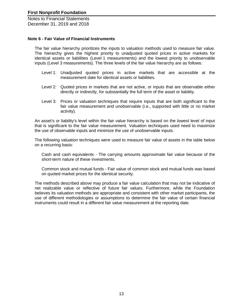### **Note 6 - Fair Value of Financial Instruments**

The fair value hierarchy prioritizes the inputs to valuation methods used to measure fair value. The hierarchy gives the highest priority to unadjusted quoted prices in active markets for identical assets or liabilities (Level 1 measurements) and the lowest priority to unobservable inputs (Level 3 measurements). The three levels of the fair value hierarchy are as follows:

- Level 1: Unadjusted quoted prices in active markets that are accessible at the measurement date for identical assets or liabilities.
- Level 2: Quoted prices in markets that are not active, or inputs that are observable either directly or indirectly, for substantially the full term of the asset or liability.
- Level 3: Prices or valuation techniques that require inputs that are both significant to the fair value measurement and unobservable (i.e., supported with little or no market activity).

An asset's or liability's level within the fair value hierarchy is based on the lowest level of input that is significant to the fair value measurement. Valuation techniques used need to maximize the use of observable inputs and minimize the use of unobservable inputs.

The following valuation techniques were used to measure fair value of assets in the table below on a recurring basis:

Cash and cash equivalents - The carrying amounts approximate fair value because of the short-term nature of these investments.

Common stock and mutual funds - Fair value of common stock and mutual funds was based on quoted market prices for the identical security.

The methods described above may produce a fair value calculation that may not be indicative of net realizable value or reflective of future fair values. Furthermore, while the Foundation believes its valuation methods are appropriate and consistent with other market participants, the use of different methodologies or assumptions to determine the fair value of certain financial instruments could result in a different fair value measurement at the reporting date.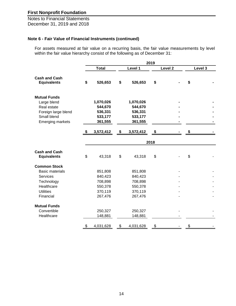Notes to Financial Statements December 31, 2019 and 2018

## **Note 6 - Fair Value of Financial Instruments (continued)**

For assets measured at fair value on a recurring basis, the fair value measurements by level within the fair value hierarchy consist of the following as of December 31:

|                                            | 2019 |              |    |           |    |                    |         |  |  |
|--------------------------------------------|------|--------------|----|-----------|----|--------------------|---------|--|--|
|                                            |      | <b>Total</b> |    | Level 1   |    | Level <sub>2</sub> | Level 3 |  |  |
| <b>Cash and Cash</b><br><b>Equivalents</b> | \$   | 526,653      | \$ | 526,653   | \$ |                    | \$      |  |  |
| <b>Mutual Funds</b>                        |      |              |    |           |    |                    |         |  |  |
| Large blend                                |      | 1,070,026    |    | 1,070,026 |    |                    |         |  |  |
| Real estate                                |      | 544,670      |    | 544,670   |    |                    |         |  |  |
| Foreign large blend                        |      | 536,331      |    | 536,331   |    |                    |         |  |  |
| Small blend                                |      | 533,177      |    | 533,177   |    |                    |         |  |  |
| <b>Emerging markets</b>                    |      | 361,555      |    | 361,555   |    |                    |         |  |  |
|                                            | \$   | 3,572,412    | \$ | 3,572,412 | \$ |                    | \$      |  |  |
|                                            |      |              |    | 2018      |    |                    |         |  |  |
| <b>Cash and Cash</b>                       |      |              |    |           |    |                    |         |  |  |
| <b>Equivalents</b>                         | \$   | 43,318       | \$ | 43,318    | \$ |                    | \$      |  |  |
| <b>Common Stock</b>                        |      |              |    |           |    |                    |         |  |  |
| <b>Basic materials</b>                     |      | 851,808      |    | 851,808   |    |                    |         |  |  |
| <b>Services</b>                            |      | 840,423      |    | 840,423   |    |                    |         |  |  |
| Technology                                 |      | 708,898      |    | 708,898   |    |                    |         |  |  |
| Healthcare                                 |      | 550,378      |    | 550,378   |    |                    |         |  |  |
| <b>Utilities</b>                           |      | 370,119      |    | 370,119   |    |                    |         |  |  |
| Financial                                  |      | 267,476      |    | 267,476   |    |                    |         |  |  |
| <b>Mutual Funds</b>                        |      |              |    |           |    |                    |         |  |  |
| Convertible                                |      | 250,327      |    | 250,327   |    |                    |         |  |  |
| Healthcare                                 |      | 148,881      |    | 148,881   |    |                    |         |  |  |
|                                            | \$   | 4,031,628    | \$ | 4,031,628 | \$ |                    | \$      |  |  |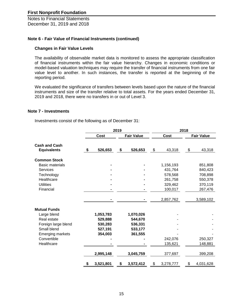### **Note 6 - Fair Value of Financial Instruments (continued)**

#### **Changes in Fair Value Levels**

The availability of observable market data is monitored to assess the appropriate classification of financial instruments within the fair value hierarchy. Changes in economic conditions or model-based valuation techniques may require the transfer of financial instruments from one fair value level to another. In such instances, the transfer is reported at the beginning of the reporting period.

We evaluated the significance of transfers between levels based upon the nature of the financial instruments and size of the transfer relative to total assets. For the years ended December 31, 2019 and 2018, there were no transfers in or out of Level 3.

#### **Note 7 - Investments**

Investments consist of the following as of December 31:

|                                            |                 | 2019              |                 | 2018              |  |  |  |
|--------------------------------------------|-----------------|-------------------|-----------------|-------------------|--|--|--|
|                                            | <b>Cost</b>     | <b>Fair Value</b> | <b>Cost</b>     | <b>Fair Value</b> |  |  |  |
| <b>Cash and Cash</b><br><b>Equivalents</b> | \$<br>526,653   | \$<br>526,653     | \$<br>43,318    | \$<br>43,318      |  |  |  |
| <b>Common Stock</b>                        |                 |                   |                 |                   |  |  |  |
| <b>Basic materials</b>                     |                 |                   | 1,156,193       | 851,808           |  |  |  |
| <b>Services</b>                            |                 |                   | 431,764         | 840,423           |  |  |  |
| Technology                                 |                 |                   | 578,568         | 708,898           |  |  |  |
| Healthcare                                 |                 |                   | 261,758         | 550,378           |  |  |  |
| <b>Utilities</b>                           |                 |                   | 329,462         | 370,119           |  |  |  |
| Financial                                  |                 |                   | 100,017         | 267,476           |  |  |  |
|                                            |                 |                   | 2,857,762       | 3,589,102         |  |  |  |
| <b>Mutual Funds</b>                        |                 |                   |                 |                   |  |  |  |
| Large blend                                | 1,053,783       | 1,070,026         |                 |                   |  |  |  |
| Real estate                                | 529,888         | 544,670           |                 |                   |  |  |  |
| Foreign large blend                        | 530,283         | 536,331           |                 |                   |  |  |  |
| Small blend                                | 527,191         | 533,177           |                 |                   |  |  |  |
| <b>Emerging markets</b>                    | 354,003         | 361,555           |                 |                   |  |  |  |
| Convertible                                |                 |                   | 242,076         | 250,327           |  |  |  |
| Healthcare                                 |                 |                   | 135,621         | 148,881           |  |  |  |
|                                            | 2,995,148       | 3,045,759         | 377,697         | 399,208           |  |  |  |
|                                            | 3,521,801<br>\$ | 3,572,412<br>\$   | \$<br>3,278,777 | \$<br>4,031,628   |  |  |  |